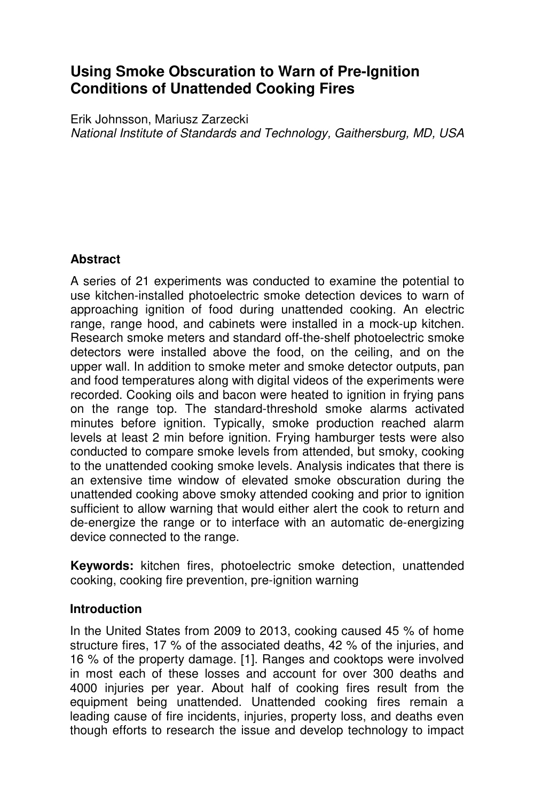# **Using Smoke Obscuration to Warn of Pre-Ignition Conditions of Unattended Cooking Fires**

Erik Johnsson, Mariusz Zarzecki National Institute of Standards and Technology, Gaithersburg, MD, USA

# **Abstract**

A series of 21 experiments was conducted to examine the potential to use kitchen-installed photoelectric smoke detection devices to warn of approaching ignition of food during unattended cooking. An electric range, range hood, and cabinets were installed in a mock-up kitchen. Research smoke meters and standard off-the-shelf photoelectric smoke detectors were installed above the food, on the ceiling, and on the upper wall. In addition to smoke meter and smoke detector outputs, pan and food temperatures along with digital videos of the experiments were recorded. Cooking oils and bacon were heated to ignition in frying pans on the range top. The standard-threshold smoke alarms activated minutes before ignition. Typically, smoke production reached alarm levels at least 2 min before ignition. Frying hamburger tests were also conducted to compare smoke levels from attended, but smoky, cooking to the unattended cooking smoke levels. Analysis indicates that there is an extensive time window of elevated smoke obscuration during the unattended cooking above smoky attended cooking and prior to ignition sufficient to allow warning that would either alert the cook to return and de-energize the range or to interface with an automatic de-energizing device connected to the range.

**Keywords:** kitchen fires, photoelectric smoke detection, unattended cooking, cooking fire prevention, pre-ignition warning

#### **Introduction**

In the United States from 2009 to 2013, cooking caused 45 % of home structure fires, 17 % of the associated deaths, 42 % of the injuries, and 16 % of the property damage. [1]. Ranges and cooktops were involved in most each of these losses and account for over 300 deaths and 4000 injuries per year. About half of cooking fires result from the equipment being unattended. Unattended cooking fires remain a leading cause of fire incidents, injuries, property loss, and deaths even though efforts to research the issue and develop technology to impact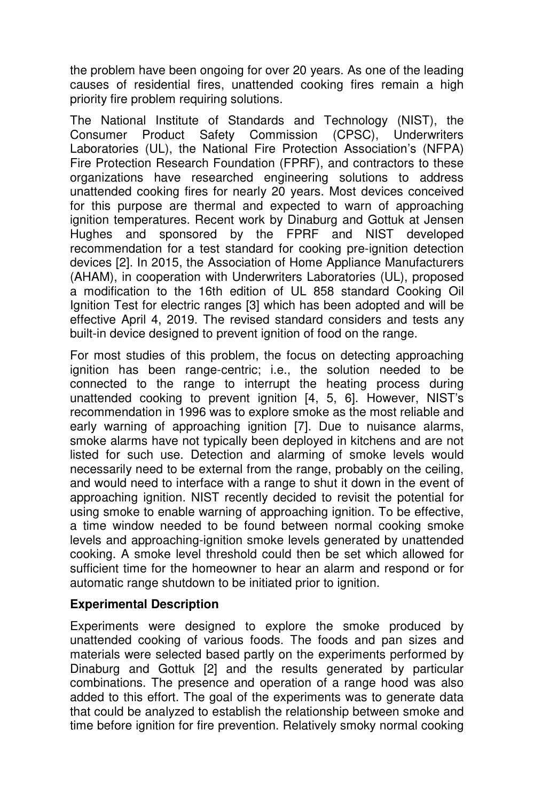the problem have been ongoing for over 20 years. As one of the leading causes of residential fires, unattended cooking fires remain a high priority fire problem requiring solutions.

The National Institute of Standards and Technology (NIST), the Consumer Product Safety Commission (CPSC), Underwriters Laboratories (UL), the National Fire Protection Association's (NFPA) Fire Protection Research Foundation (FPRF), and contractors to these organizations have researched engineering solutions to address unattended cooking fires for nearly 20 years. Most devices conceived for this purpose are thermal and expected to warn of approaching ignition temperatures. Recent work by Dinaburg and Gottuk at Jensen Hughes and sponsored by the FPRF and NIST developed recommendation for a test standard for cooking pre-ignition detection devices [2]. In 2015, the Association of Home Appliance Manufacturers (AHAM), in cooperation with Underwriters Laboratories (UL), proposed a modification to the 16th edition of UL 858 standard Cooking Oil Ignition Test for electric ranges [3] which has been adopted and will be effective April 4, 2019. The revised standard considers and tests any built-in device designed to prevent ignition of food on the range.

For most studies of this problem, the focus on detecting approaching ignition has been range-centric; i.e., the solution needed to be connected to the range to interrupt the heating process during unattended cooking to prevent ignition [4, 5, 6]. However, NIST's recommendation in 1996 was to explore smoke as the most reliable and early warning of approaching ignition [7]. Due to nuisance alarms, smoke alarms have not typically been deployed in kitchens and are not listed for such use. Detection and alarming of smoke levels would necessarily need to be external from the range, probably on the ceiling, and would need to interface with a range to shut it down in the event of approaching ignition. NIST recently decided to revisit the potential for using smoke to enable warning of approaching ignition. To be effective, a time window needed to be found between normal cooking smoke levels and approaching-ignition smoke levels generated by unattended cooking. A smoke level threshold could then be set which allowed for sufficient time for the homeowner to hear an alarm and respond or for automatic range shutdown to be initiated prior to ignition.

# **Experimental Description**

Experiments were designed to explore the smoke produced by unattended cooking of various foods. The foods and pan sizes and materials were selected based partly on the experiments performed by Dinaburg and Gottuk [2] and the results generated by particular combinations. The presence and operation of a range hood was also added to this effort. The goal of the experiments was to generate data that could be analyzed to establish the relationship between smoke and time before ignition for fire prevention. Relatively smoky normal cooking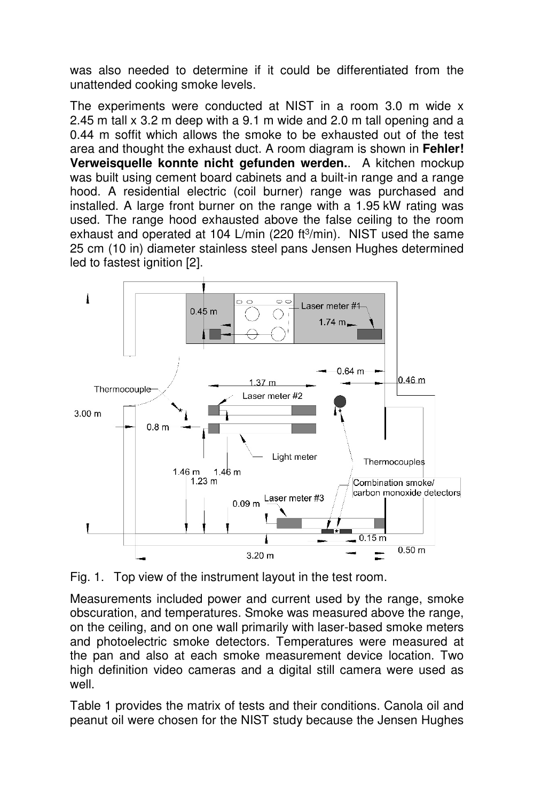was also needed to determine if it could be differentiated from the unattended cooking smoke levels.

The experiments were conducted at NIST in a room 3.0 m wide x 2.45 m tall x 3.2 m deep with a 9.1 m wide and 2.0 m tall opening and a 0.44 m soffit which allows the smoke to be exhausted out of the test area and thought the exhaust duct. A room diagram is shown in **Fehler! Verweisquelle konnte nicht gefunden werden.**. A kitchen mockup was built using cement board cabinets and a built-in range and a range hood. A residential electric (coil burner) range was purchased and installed. A large front burner on the range with a 1.95 kW rating was used. The range hood exhausted above the false ceiling to the room exhaust and operated at 104 L/min (220 ft<sup>3</sup>/min). NIST used the same 25 cm (10 in) diameter stainless steel pans Jensen Hughes determined led to fastest ignition [2].



Fig. 1. Top view of the instrument layout in the test room.

Measurements included power and current used by the range, smoke obscuration, and temperatures. Smoke was measured above the range, on the ceiling, and on one wall primarily with laser-based smoke meters and photoelectric smoke detectors. Temperatures were measured at the pan and also at each smoke measurement device location. Two high definition video cameras and a digital still camera were used as well.

Table 1 provides the matrix of tests and their conditions. Canola oil and peanut oil were chosen for the NIST study because the Jensen Hughes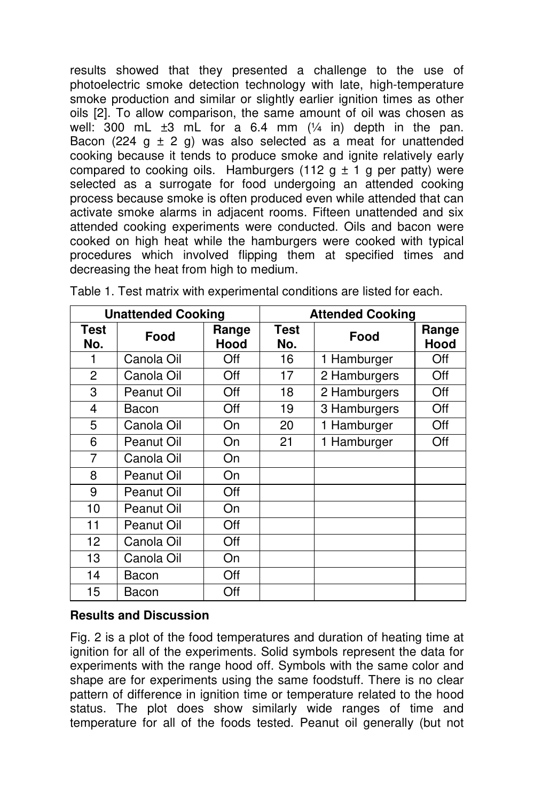results showed that they presented a challenge to the use of photoelectric smoke detection technology with late, high-temperature smoke production and similar or slightly earlier ignition times as other oils [2]. To allow comparison, the same amount of oil was chosen as well:  $300$  mL  $\pm 3$  mL for a 6.4 mm  $(1/4)$  in) depth in the pan. Bacon (224 g  $\pm$  2 g) was also selected as a meat for unattended cooking because it tends to produce smoke and ignite relatively early compared to cooking oils. Hamburgers (112  $g \pm 1$  g per patty) were selected as a surrogate for food undergoing an attended cooking process because smoke is often produced even while attended that can activate smoke alarms in adjacent rooms. Fifteen unattended and six attended cooking experiments were conducted. Oils and bacon were cooked on high heat while the hamburgers were cooked with typical procedures which involved flipping them at specified times and decreasing the heat from high to medium.

| <b>Unattended Cooking</b> |            |               | <b>Attended Cooking</b> |              |               |
|---------------------------|------------|---------------|-------------------------|--------------|---------------|
| Test<br>No.               | Food       | Range<br>Hood | <b>Test</b><br>No.      | Food         | Range<br>Hood |
| 1                         | Canola Oil | Off           | 16                      | 1 Hamburger  | Off           |
| 2                         | Canola Oil | Off           | 17                      | 2 Hamburgers | Off           |
| 3                         | Peanut Oil | Off           | 18                      | 2 Hamburgers | Off           |
| 4                         | Bacon      | Off           | 19                      | 3 Hamburgers | Off           |
| 5                         | Canola Oil | On            | 20                      | 1 Hamburger  | Off           |
| 6                         | Peanut Oil | On            | 21                      | 1 Hamburger  | Off           |
| 7                         | Canola Oil | On            |                         |              |               |
| 8                         | Peanut Oil | On            |                         |              |               |
| 9                         | Peanut Oil | Off           |                         |              |               |
| 10                        | Peanut Oil | On            |                         |              |               |
| 11                        | Peanut Oil | Off           |                         |              |               |
| 12                        | Canola Oil | Off           |                         |              |               |
| 13                        | Canola Oil | On            |                         |              |               |
| 14                        | Bacon      | Off           |                         |              |               |
| 15                        | Bacon      | Off           |                         |              |               |

Table 1. Test matrix with experimental conditions are listed for each.

# **Results and Discussion**

Fig. 2 is a plot of the food temperatures and duration of heating time at ignition for all of the experiments. Solid symbols represent the data for experiments with the range hood off. Symbols with the same color and shape are for experiments using the same foodstuff. There is no clear pattern of difference in ignition time or temperature related to the hood status. The plot does show similarly wide ranges of time and temperature for all of the foods tested. Peanut oil generally (but not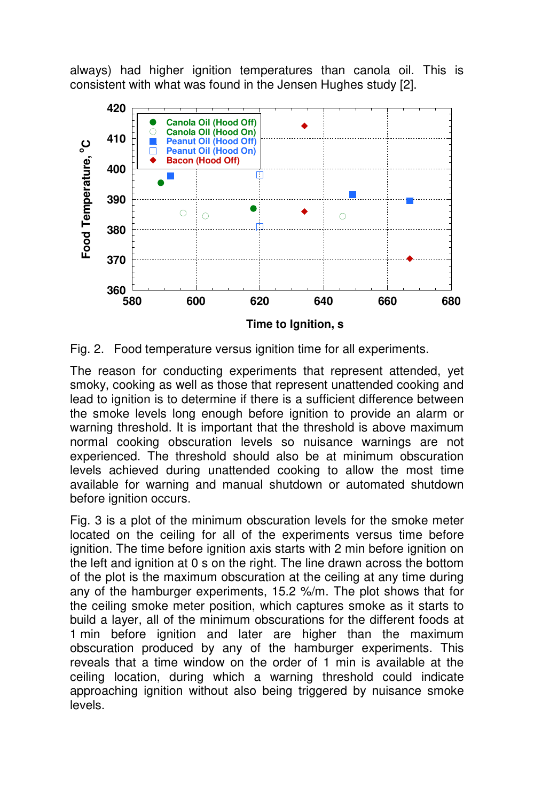always) had higher ignition temperatures than canola oil. This is consistent with what was found in the Jensen Hughes study [2].



Fig. 2. Food temperature versus ignition time for all experiments.

The reason for conducting experiments that represent attended, yet smoky, cooking as well as those that represent unattended cooking and lead to ignition is to determine if there is a sufficient difference between the smoke levels long enough before ignition to provide an alarm or warning threshold. It is important that the threshold is above maximum normal cooking obscuration levels so nuisance warnings are not experienced. The threshold should also be at minimum obscuration levels achieved during unattended cooking to allow the most time available for warning and manual shutdown or automated shutdown before ignition occurs.

Fig. 3 is a plot of the minimum obscuration levels for the smoke meter located on the ceiling for all of the experiments versus time before ignition. The time before ignition axis starts with 2 min before ignition on the left and ignition at 0 s on the right. The line drawn across the bottom of the plot is the maximum obscuration at the ceiling at any time during any of the hamburger experiments, 15.2 %/m. The plot shows that for the ceiling smoke meter position, which captures smoke as it starts to build a layer, all of the minimum obscurations for the different foods at 1 min before ignition and later are higher than the maximum obscuration produced by any of the hamburger experiments. This reveals that a time window on the order of 1 min is available at the ceiling location, during which a warning threshold could indicate approaching ignition without also being triggered by nuisance smoke levels.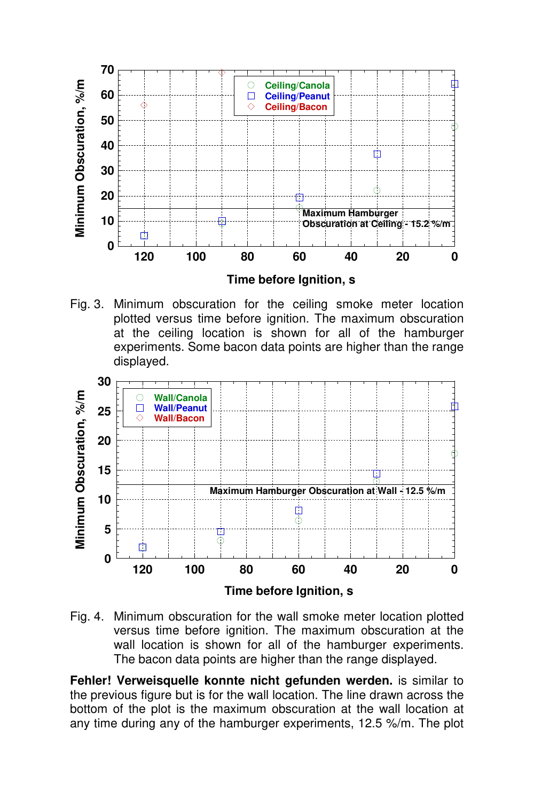

Fig. 3. Minimum obscuration for the ceiling smoke meter location plotted versus time before ignition. The maximum obscuration at the ceiling location is shown for all of the hamburger experiments. Some bacon data points are higher than the range displayed.



Fig. 4. Minimum obscuration for the wall smoke meter location plotted versus time before ignition. The maximum obscuration at the wall location is shown for all of the hamburger experiments. The bacon data points are higher than the range displayed.

**Fehler! Verweisquelle konnte nicht gefunden werden.** is similar to the previous figure but is for the wall location. The line drawn across the bottom of the plot is the maximum obscuration at the wall location at any time during any of the hamburger experiments, 12.5 %/m. The plot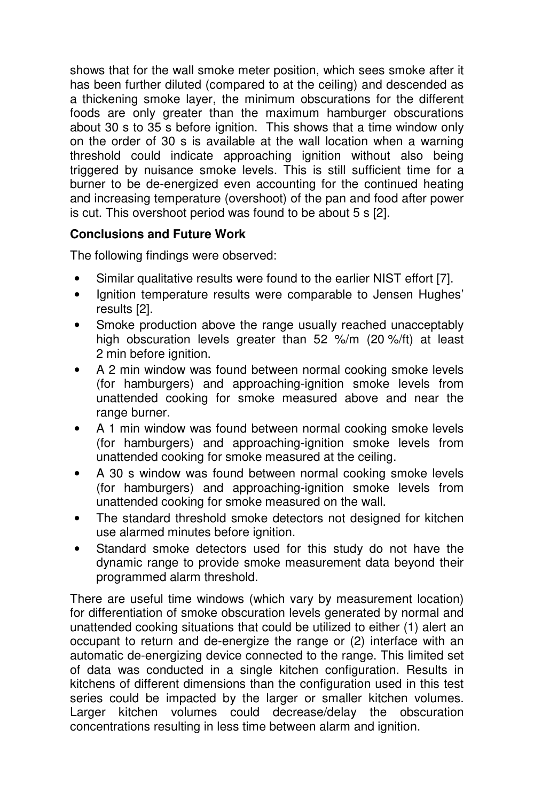shows that for the wall smoke meter position, which sees smoke after it has been further diluted (compared to at the ceiling) and descended as a thickening smoke layer, the minimum obscurations for the different foods are only greater than the maximum hamburger obscurations about 30 s to 35 s before ignition. This shows that a time window only on the order of 30 s is available at the wall location when a warning threshold could indicate approaching ignition without also being triggered by nuisance smoke levels. This is still sufficient time for a burner to be de-energized even accounting for the continued heating and increasing temperature (overshoot) of the pan and food after power is cut. This overshoot period was found to be about 5 s [2].

# **Conclusions and Future Work**

The following findings were observed:

- Similar qualitative results were found to the earlier NIST effort [7].
- Ignition temperature results were comparable to Jensen Hughes' results [2].
- Smoke production above the range usually reached unacceptably high obscuration levels greater than 52 %/m (20 %/ft) at least 2 min before ignition.
- A 2 min window was found between normal cooking smoke levels (for hamburgers) and approaching-ignition smoke levels from unattended cooking for smoke measured above and near the range burner.
- A 1 min window was found between normal cooking smoke levels (for hamburgers) and approaching-ignition smoke levels from unattended cooking for smoke measured at the ceiling.
- A 30 s window was found between normal cooking smoke levels (for hamburgers) and approaching-ignition smoke levels from unattended cooking for smoke measured on the wall.
- The standard threshold smoke detectors not designed for kitchen use alarmed minutes before ignition.
- Standard smoke detectors used for this study do not have the dynamic range to provide smoke measurement data beyond their programmed alarm threshold.

There are useful time windows (which vary by measurement location) for differentiation of smoke obscuration levels generated by normal and unattended cooking situations that could be utilized to either (1) alert an occupant to return and de-energize the range or (2) interface with an automatic de-energizing device connected to the range. This limited set of data was conducted in a single kitchen configuration. Results in kitchens of different dimensions than the configuration used in this test series could be impacted by the larger or smaller kitchen volumes. Larger kitchen volumes could decrease/delay the obscuration concentrations resulting in less time between alarm and ignition.